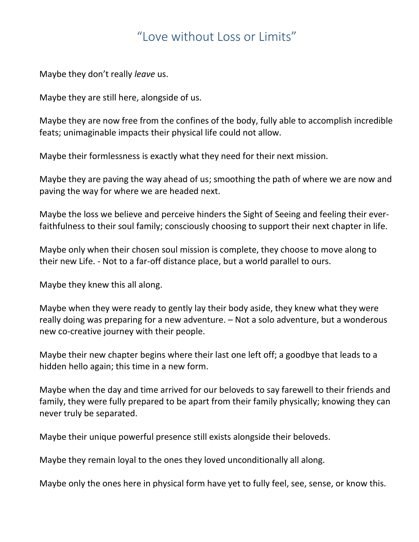## "Love without Loss or Limits"

Maybe they don't really *leave* us.

Maybe they are still here, alongside of us.

Maybe they are now free from the confines of the body, fully able to accomplish incredible feats; unimaginable impacts their physical life could not allow.

Maybe their formlessness is exactly what they need for their next mission.

Maybe they are paving the way ahead of us; smoothing the path of where we are now and paving the way for where we are headed next.

Maybe the loss we believe and perceive hinders the Sight of Seeing and feeling their everfaithfulness to their soul family; consciously choosing to support their next chapter in life.

Maybe only when their chosen soul mission is complete, they choose to move along to their new Life. - Not to a far-off distance place, but a world parallel to ours.

Maybe they knew this all along.

Maybe when they were ready to gently lay their body aside, they knew what they were really doing was preparing for a new adventure. – Not a solo adventure, but a wonderous new co-creative journey with their people.

Maybe their new chapter begins where their last one left off; a goodbye that leads to a hidden hello again; this time in a new form.

Maybe when the day and time arrived for our beloveds to say farewell to their friends and family, they were fully prepared to be apart from their family physically; knowing they can never truly be separated.

Maybe their unique powerful presence still exists alongside their beloveds.

Maybe they remain loyal to the ones they loved unconditionally all along.

Maybe only the ones here in physical form have yet to fully feel, see, sense, or know this.